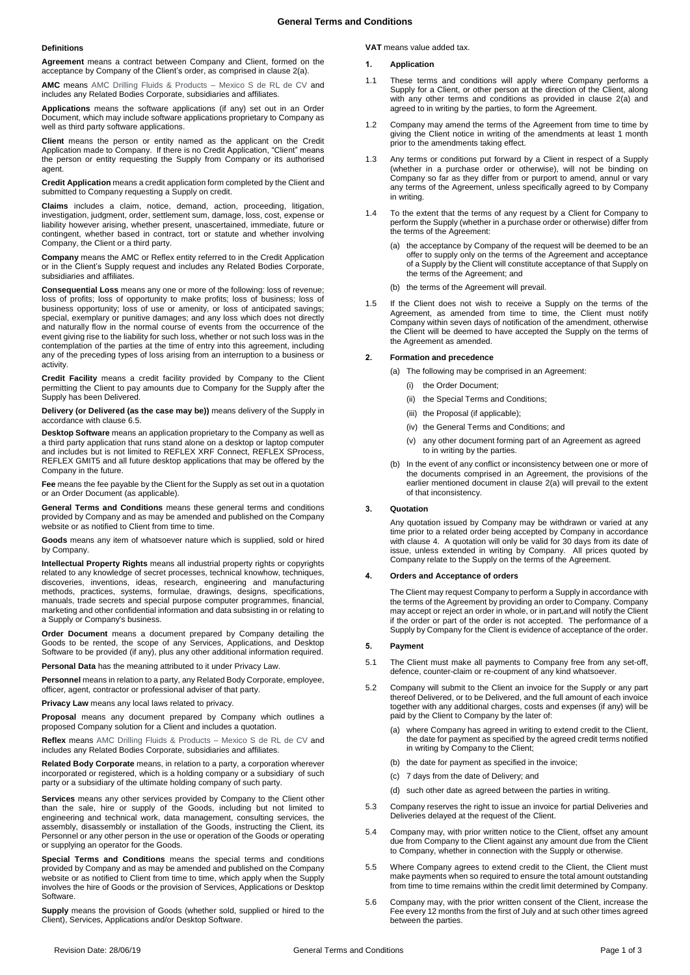#### **Definitions**

**Agreement** means a contract between Company and Client, formed on the acceptance by Company of the Client's order, as comprised in claus[e 2\(a\).](#page-0-0)

**AMC** means AMC Drilling Fluids & Products – Mexico S de RL de CV and includes any Related Bodies Corporate, subsidiaries and affiliates.

**Applications** means the software applications (if any) set out in an Order Document, which may include software applications proprietary to Company as well as third party software applications.

**Client** means the person or entity named as the applicant on the Credit Application made to Company. If there is no Credit Application, "Client" means the person or entity requesting the Supply from Company or its authorised agent.

**Credit Application** means a credit application form completed by the Client and submitted to Company requesting a Supply on credit.

**Claims** includes a claim, notice, demand, action, proceeding, litigation, investigation, judgment, order, settlement sum, damage, loss, cost, expense or liability however arising, whether present, unascertained, immediate, future or contingent, whether based in contract, tort or statute and whether involving Company, the Client or a third party.

**Company** means the AMC or Reflex entity referred to in the Credit Application or in the Client's Supply request and includes any Related Bodies Corporate, subsidiaries and affiliates.

**Consequential Loss** means any one or more of the following: loss of revenue; loss of profits; loss of opportunity to make profits; loss of business; loss of business opportunity; loss of use or amenity, or loss of anticipated savings; special, exemplary or punitive damages; and any loss which does not directly and naturally flow in the normal course of events from the occurrence of the event giving rise to the liability for such loss, whether or not such loss was in the contemplation of the parties at the time of entry into this agreement, including any of the preceding types of loss arising from an interruption to a business or activity.

**Credit Facility** means a credit facility provided by Company to the Client permitting the Client to pay amounts due to Company for the Supply after the Supply has been Delivered.

**Delivery (or Delivered (as the case may be))** means delivery of the Supply in accordance with claus[e 6.5.](#page-1-0)

**Desktop Software** means an application proprietary to the Company as well as a third party application that runs stand alone on a desktop or laptop computer and includes but is not limited to REFLEX XRF Connect, REFLEX SProcess, REFLEX GMIT5 and all future desktop applications that may be offered by the Company in the future.

**Fee** means the fee payable by the Client for the Supply as set out in a quotation or an Order Document (as applicable).

**General Terms and Conditions** means these general terms and conditions provided by Company and as may be amended and published on the Company website or as notified to Client from time to time.

**Goods** means any item of whatsoever nature which is supplied, sold or hired by Company.

**Intellectual Property Rights** means all industrial property rights or copyrights related to any knowledge of secret processes, technical knowhow, techniques, discoveries, inventions, ideas, research, engineering and manufacturing methods, practices, systems, formulae, drawings, designs, specifications, manuals, trade secrets and special purpose computer programmes, financial, marketing and other confidential information and data subsisting in or relating to a Supply or Company's business.

**Order Document** means a document prepared by Company detailing the Goods to be rented, the scope of any Services, Applications, and Desktop Software to be provided (if any), plus any other additional information required.

**Personal Data** has the meaning attributed to it under Privacy Law.

**Personnel** means in relation to a party, any Related Body Corporate, employee, officer, agent, contractor or professional adviser of that party.

**Privacy Law** means any local laws related to privacy.

**Proposal** means any document prepared by Company which outlines a proposed Company solution for a Client and includes a quotation.

**Reflex** means AMC Drilling Fluids & Products – Mexico S de RL de CV and includes any Related Bodies Corporate, subsidiaries and affiliates.

**Related Body Corporate** means, in relation to a party, a corporation wherever incorporated or registered, which is a holding company or a subsidiary of such party or a subsidiary of the ultimate holding company of such party.

**Services** means any other services provided by Company to the Client other than the sale, hire or supply of the Goods, including but not limited to engineering and technical work, data management, consulting services, the assembly, disassembly or installation of the Goods, instructing the Client, its Personnel or any other person in the use or operation of the Goods or operating or supplying an operator for the Goods.

**Special Terms and Conditions** means the special terms and conditions provided by Company and as may be amended and published on the Company website or as notified to Client from time to time, which apply when the Supply involves the hire of Goods or the provision of Services, Applications or Desktop Software.

**Supply** means the provision of Goods (whether sold, supplied or hired to the Client), Services, Applications and/or Desktop Software.

**VAT** means value added tax.

## **1. Application**

- 1.1 These terms and conditions will apply where Company performs a Supply for a Client, or other person at the direction of the Client, along with any other terms and conditions as provided in clause 2(a) and agreed to in writing by the parties, to form the Agreement.
- 1.2 Company may amend the terms of the Agreement from time to time by giving the Client notice in writing of the amendments at least 1 month prior to the amendments taking effect.
- 1.3 Any terms or conditions put forward by a Client in respect of a Supply (whether in a purchase order or otherwise), will not be binding on Company so far as they differ from or purport to amend, annul or vary any terms of the Agreement, unless specifically agreed to by Company in writing.
- 1.4 To the extent that the terms of any request by a Client for Company to perform the Supply (whether in a purchase order or otherwise) differ from the terms of the Agreement:
	- (a) the acceptance by Company of the request will be deemed to be an offer to supply only on the terms of the Agreement and acceptance of a Supply by the Client will constitute acceptance of that Supply on the terms of the Agreement; and
	- (b) the terms of the Agreement will prevail.
- 1.5 If the Client does not wish to receive a Supply on the terms of the Agreement, as amended from time to time, the Client must notify Company within seven days of notification of the amendment, otherwise the Client will be deemed to have accepted the Supply on the terms of the Agreement as amended.

#### <span id="page-0-0"></span>**2. Formation and precedence**

(a) The following may be comprised in an Agreement:

- (i) the Order Document;
- (ii) the Special Terms and Conditions;
- (iii) the Proposal (if applicable);
- (iv) the General Terms and Conditions; and
- (v) any other document forming part of an Agreement as agreed to in writing by the parties.
- (b) In the event of any conflict or inconsistency between one or more of the documents comprised in an Agreement, the provisions of the earlier mentioned document in clause [2\(a\)](#page-0-0) will prevail to the extent of that inconsistency.

## **3. Quotation**

Any quotation issued by Company may be withdrawn or varied at any time prior to a related order being accepted by Company in accordance with claus[e 4.](#page-0-1) A quotation will only be valid for 30 days from its date of issue, unless extended in writing by Company. All prices quoted by Company relate to the Supply on the terms of the Agreement.

#### <span id="page-0-1"></span>**4. Orders and Acceptance of orders**

The Client may request Company to perform a Supply in accordance with the terms of the Agreement by providing an order to Company. Company may accept or reject an order in whole, or in part,and will notify the Client if the order or part of the order is not accepted. The performance of a Supply by Company for the Client is evidence of acceptance of the order.

## **5. Payment**

- 5.1 The Client must make all payments to Company free from any set-off, defence, counter-claim or re-coupment of any kind whatsoever.
- 5.2 Company will submit to the Client an invoice for the Supply or any part thereof Delivered, or to be Delivered, and the full amount of each invoice together with any additional charges, costs and expenses (if any) will be paid by the Client to Company by the later of:
	- (a) where Company has agreed in writing to extend credit to the Client, the date for payment as specified by the agreed credit terms notified in writing by Company to the Client;
	- (b) the date for payment as specified in the invoice;
	- (c) 7 days from the date of Delivery; and
	- (d) such other date as agreed between the parties in writing.
- 5.3 Company reserves the right to issue an invoice for partial Deliveries and Deliveries delayed at the request of the Client.
- 5.4 Company may, with prior written notice to the Client, offset any amount due from Company to the Client against any amount due from the Client to Company, whether in connection with the Supply or otherwise.
- 5.5 Where Company agrees to extend credit to the Client, the Client must make payments when so required to ensure the total amount outstanding from time to time remains within the credit limit determined by Company.
- 5.6 Company may, with the prior written consent of the Client, increase the Fee every 12 months from the first of July and at such other times agreed between the parties.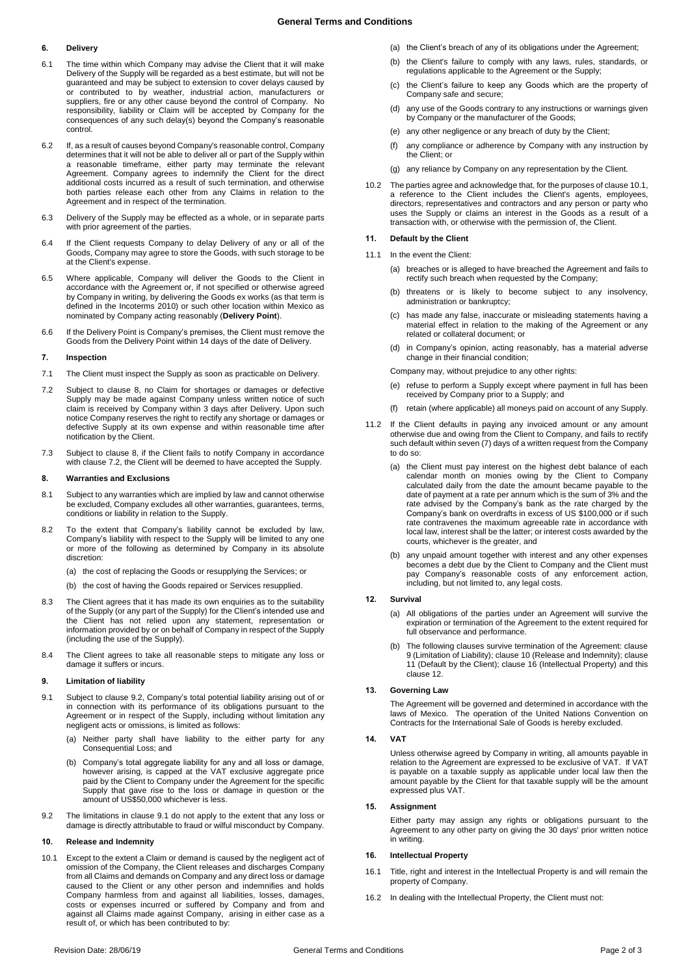# **6. Delivery**

- 6.1 The time within which Company may advise the Client that it will make Delivery of the Supply will be regarded as a best estimate, but will not be guaranteed and may be subject to extension to cover delays caused by or contributed to by weather, industrial action, manufacturers or suppliers, fire or any other cause beyond the control of Company. No responsibility, liability or Claim will be accepted by Company for the consequences of any such delay(s) beyond the Company's reasonable control.
- 6.2 If, as a result of causes beyond Company's reasonable control, Company determines that it will not be able to deliver all or part of the Supply within a reasonable timeframe, either party may terminate the relevant Agreement. Company agrees to indemnify the Client for the direct additional costs incurred as a result of such termination, and otherwise both parties release each other from any Claims in relation to the Agreement and in respect of the termination.
- 6.3 Delivery of the Supply may be effected as a whole, or in separate parts with prior agreement of the parties.
- 6.4 If the Client requests Company to delay Delivery of any or all of the Goods, Company may agree to store the Goods, with such storage to be at the Client's expense.
- <span id="page-1-0"></span>6.5 Where applicable, Company will deliver the Goods to the Client in accordance with the Agreement or, if not specified or otherwise agreed by Company in writing, by delivering the Goods ex works (as that term is defined in the Incoterms 2010) or such other location within Mexico as nominated by Company acting reasonably (**Delivery Point**).
- 6.6 If the Delivery Point is Company's premises, the Client must remove the Goods from the Delivery Point within 14 days of the date of Delivery.

## **7. Inspection**

- 7.1 The Client must inspect the Supply as soon as practicable on Delivery.
- <span id="page-1-2"></span>7.2 Subject to clause [8,](#page-1-1) no Claim for shortages or damages or defective Supply may be made against Company unless written notice of such claim is received by Company within 3 days after Delivery. Upon such notice Company reserves the right to rectify any shortage or damages or defective Supply at its own expense and within reasonable time after notification by the Client.
- 7.3 Subject to clause [8,](#page-1-1) if the Client fails to notify Company in accordance with clause [7.2,](#page-1-2) the Client will be deemed to have accepted the Supply.

## <span id="page-1-1"></span>**8. Warranties and Exclusions**

- 8.1 Subject to any warranties which are implied by law and cannot otherwise be excluded, Company excludes all other warranties, guarantees, terms, conditions or liability in relation to the Supply.
- 8.2 To the extent that Company's liability cannot be excluded by law, Company's liability with respect to the Supply will be limited to any one or more of the following as determined by Company in its absolute discretion:
	- (a) the cost of replacing the Goods or resupplying the Services; or
	- (b) the cost of having the Goods repaired or Services resupplied.
- 8.3 The Client agrees that it has made its own enquiries as to the suitability of the Supply (or any part of the Supply) for the Client's intended use and the Client has not relied upon any statement, representation or information provided by or on behalf of Company in respect of the Supply (including the use of the Supply).
- 8.4 The Client agrees to take all reasonable steps to mitigate any loss or damage it suffers or incurs.

## <span id="page-1-6"></span>**9. Limitation of liability**

- <span id="page-1-4"></span>9.1 Subject to clause [9.2,](#page-1-3) Company's total potential liability arising out of or in connection with its performance of its obligations pursuant to the Agreement or in respect of the Supply, including without limitation any negligent acts or omissions, is limited as follows:
	- (a) Neither party shall have liability to the either party for any Consequential Loss; and
	- (b) Company's total aggregate liability for any and all loss or damage, however arising, is capped at the VAT exclusive aggregate price paid by the Client to Company under the Agreement for the specific Supply that gave rise to the loss or damage in question or the amount of US\$50,000 whichever is less.
- <span id="page-1-3"></span>9.2 The limitations in clause [9.1](#page-1-4) do not apply to the extent that any loss or damage is directly attributable to fraud or wilful misconduct by Company.

# <span id="page-1-7"></span>**10. Release and Indemnity**

<span id="page-1-5"></span>10.1 Except to the extent a Claim or demand is caused by the negligent act of omission of the Company, the Client releases and discharges Company from all Claims and demands on Company and any direct loss or damage caused to the Client or any other person and indemnifies and holds Company harmless from and against all liabilities, losses, damages, costs or expenses incurred or suffered by Company and from and against all Claims made against Company, arising in either case as a result of, or which has been contributed to by:

- (a) the Client's breach of any of its obligations under the Agreement;
- (b) the Client's failure to comply with any laws, rules, standards, or regulations applicable to the Agreement or the Supply;
- (c) the Client's failure to keep any Goods which are the property of Company safe and secure;
- (d) any use of the Goods contrary to any instructions or warnings given by Company or the manufacturer of the Goods;
- (e) any other negligence or any breach of duty by the Client;
- (f) any compliance or adherence by Company with any instruction by the Client; or
- (g) any reliance by Company on any representation by the Client.
- 10.2 The parties agree and acknowledge that, for the purposes of claus[e 10.1,](#page-1-5)  a reference to the Client includes the Client's agents, employees, directors, representatives and contractors and any person or party who uses the Supply or claims an interest in the Goods as a result of a transaction with, or otherwise with the permission of, the Client.

## <span id="page-1-8"></span>**11. Default by the Client**

- 11.1 In the event the Client:
	- (a) breaches or is alleged to have breached the Agreement and fails to rectify such breach when requested by the Company;
	- (b) threatens or is likely to become subject to any insolvency, administration or bankruptcy;
	- (c) has made any false, inaccurate or misleading statements having a material effect in relation to the making of the Agreement or any related or collateral document; or
	- (d) in Company's opinion, acting reasonably, has a material adverse change in their financial condition;

Company may, without prejudice to any other rights:

- (e) refuse to perform a Supply except where payment in full has been received by Company prior to a Supply; and
- (f) retain (where applicable) all moneys paid on account of any Supply.
- 11.2 If the Client defaults in paying any invoiced amount or any amount otherwise due and owing from the Client to Company, and fails to rectify such default within seven (7) days of a written request from the Company to do so:
	- (a) the Client must pay interest on the highest debt balance of each calendar month on monies owing by the Client to Company calculated daily from the date the amount became payable to the date of payment at a rate per annum which is the sum of 3% and the rate advised by the Company's bank as the rate charged by the Company's bank on overdrafts in excess of US \$100,000 or if such rate contravenes the maximum agreeable rate in accordance with local law, interest shall be the latter; or interest costs awarded by the courts, whichever is the greater, and
	- any unpaid amount together with interest and any other expenses becomes a debt due by the Client to Company and the Client must pay Company's reasonable costs of any enforcement action, including, but not limited to, any legal costs.

## <span id="page-1-9"></span>**12. Survival**

- (a) All obligations of the parties under an Agreement will survive the expiration or termination of the Agreement to the extent required for full observance and performance.
- (b) The following clauses survive termination of the Agreement: clause [9](#page-1-6) (Limitation of Liability); clause [10](#page-1-7) (Release and Indemnity); clause [11](#page-1-8) (Default by the Client); clause 16 (Intellectual Property) and this claus[e 12.](#page-1-9)

# **13. Governing Law**

The Agreement will be governed and determined in accordance with the laws of Mexico. The operation of the United Nations Convention on Contracts for the International Sale of Goods is hereby excluded.

# **14. VAT**

Unless otherwise agreed by Company in writing, all amounts payable in relation to the Agreement are expressed to be exclusive of VAT. If VAT is payable on a taxable supply as applicable under local law then the amount payable by the Client for that taxable supply will be the amount expressed plus VAT.

#### **15. Assignment**

Either party may assign any rights or obligations pursuant to the Agreement to any other party on giving the 30 days' prior written notice in writing.

#### **16. Intellectual Property**

- 16.1 Title, right and interest in the Intellectual Property is and will remain the property of Company.
- 16.2 In dealing with the Intellectual Property, the Client must not: